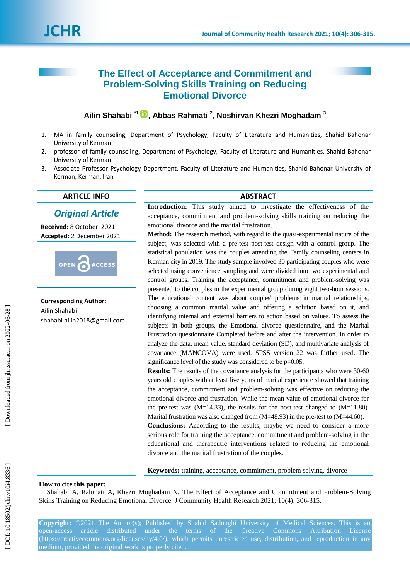# **The Effect of Acceptance and Commitment and Problem -Solving Skills Training on Reducing Emotional Divorce**

# **Ailin Shahabi \* 1 , Abbas Rahmati 2 , Noshirvan Khezri Moghadam 3**

- $1<sup>1</sup>$ . MA in family counseling, Department of Psychology, Faculty of Literature and Humanities, Shahid Bahonar University of Kerman
- 2. . professor of family counseling, Department of Psychology, Faculty of Literature and Humanities, Shahid Bahonar University of Kerman
- 3 . Associate Professor Psychology Department, Faculty of Literature and Humanities, Shahid Bahonar University of Kerman, Kerman, Iran

# **ARTICLE INFO ABSTRACT**

*Original Article*

**Received:** 8 October 2021 **Accepted:** 2 December 2021



**Corresponding Author:** Ailin Shahabi shahabi.ailin2018@gmail.com

**Introduction:** This study aimed to investigate the effectiveness of the acceptance, commitment and problem -solving skills training on reducing the emotional divorce and the marital frustration.

Method: The research method, with regard to the quasi-experimental nature of the subject, was selected with a pre -test post -test design with a control group. The statistical population was the couples attending the Family counseling centers in Kerman city in 2019. The study sample involved 30 participating couples who were selected using convenience sampling and were divided into two experimental and control groups. Training the acceptance, commitment and problem -solving was presented to the couples in the experimental group during eight two -hour sessions. The educational content was about couples' problems in marital relationships, choosing a common marital value and offering a solution based on it, and identifying internal and external barriers to action based on values. To assess the subjects in both groups, the Emotional divorce questionnaire, and the Marital Frustration questionnaire Completed before and after the intervention. In order to analyze the data, mean value, standard deviation (SD), and multivariate analysis of covariance (MANCOVA) were used. SPSS version 22 was further used. The significance level of the study was considered to be  $p=0.05$ .

**Results:** The results of the covariance analysis for the participants who were 30 -60 years old couples with at least five years of marital experience showed that training the acceptance, commitment and problem -solving was effective on reducing the emotional divorce and frustration. While the mean value of emotional divorce for the pre-test was  $(M=14.33)$ , the results for the post-test changed to  $(M=11.80)$ . Marital frustration was also changed from (M=48.93) in the pre-test to (M=44.60).

**Conclusions:** According to the results, maybe we need to consider a more serious role for training the acceptance, commitment and problem -solving in the educational and therapeutic interventions related to reducing the emotional divorce and the marital frustration of the couples.

**Keywords:** training, acceptance, commitment, problem solving, divorce

#### **How to cite this paper:**

Shahabi A, Rahmati A, Khezri Moghadam N . The Effect of Acceptance and Commitment and Problem -Solving Skills Training on Reducing Emotional Divorce. J Community Health Research 2021; 10(4): 306-315.

**Copyright:** ©2021 The Author(s); Published by Shahid Sadoughi University of Medical Sciences. This is an open-access article distributed under the terms of the Creative Commons Attribution License (https://creativecommons.org/licenses/by/4.0/), which permits unrestricted use, distribution, and reproduction in any medium, provided the original work is properly cited.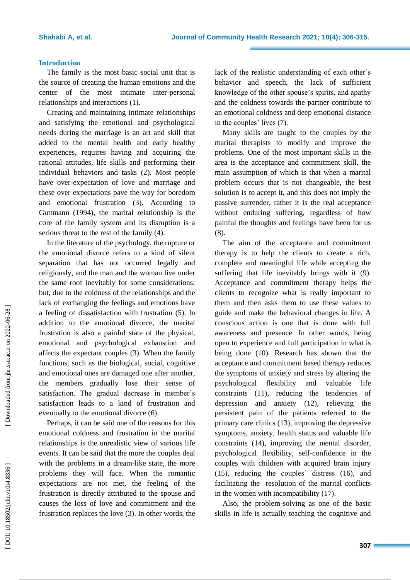#### **Introduction**

The family is the most basic social unit that is the source of creating the human emotions and the center of the most intimate inter -personal relationships and interactions (1) .

Creating and maintaining intimate relationships and satisfying the emotional and psychological needs during the marriage is an art and skill that added to the mental health and early healthy experiences, requires having and acquiring the rational attitudes, life skills and performing their individual behaviors and tasks (2). Most people have over -expectation of love and marriage and these over expectations pave the way for boredom and emotional frustration (3) . According to Guttmann (1994), the marital relationship is the core of the family system and its disruption is a serious threat to the rest of the family (4) .

In the literature of the psychology, the rupture or the emotional divorce refers to a kind of silent separation that has not occurred legally and religiously, and the man and the woman live under the same roof inevitably for some considerations; but, due to the coldness of the relationships and the lack of exchanging the feelings and emotions have a feeling of dissatisfaction with frustration (5). In addition to the emotional divorce, the marital frustration is also a painful state of the physical, emotional and psychological exhaustion and affects the expectant couples (3). When the family functions, such as the biological, social, cognitive and emotional ones are damaged one after another, the members gradually lose their sense of satisfaction. The gradual decrease in member's satisfaction leads to a kind of frustration and eventually to the emotional divorce (6) .

Perhaps, it can be said one of the reasons for this emotional coldness and frustration in the marital relationships is the unrealistic view of various life events. It can be said that the more the couples deal with the problems in a dream -like state, the more problems they will face. When the romantic expectations are not met, the feeling of the frustration is directly attributed to the spouse and causes the loss of love and commitment and the frustration replaces the love (3) . In other words, the lack of the realistic understanding of each other's behavior and speech, the lack of sufficient knowledge of the other spouse's spirits, and apathy and the coldness towards the partner contribute to an emotional coldness and deep emotional distance in the couples' lives (7) .

Many skills are taught to the couples by the marital therapists to modify and improve the problems. One of the most important skills in the area is the acceptance and commitment skill, the main assumption of which is that when a marital problem occurs that is not changeable, the best solution is to accept it, and this does not imply the passive surrender, rather it is the real acceptance without enduring suffering, regardless of how painful the thoughts and feelings have been for us (8) .

The aim of the acceptance and commitment therapy is to help the clients to create a rich, complete and meaningful life while accepting the suffering that life inevitably brings with it (9). Acceptance and commitment therapy helps the clients to recognize what is really important to them and then asks them to use these values to guide and make the behavioral changes in life. A conscious action is one that is done with full awareness and presence. In other words, being open to experience and full participation in what is being done (10). Research has shown that the acceptance and commitment based therapy reduces the symptoms of anxiety and stress by altering the psychological flexibility and valuable life constraints (11), reducing the tendencies of depression and anxiety (12), relieving the persistent pain of the patients referred to the primary care clinics (13), improving the depressive symptoms, anxiety, health status and valuable life constraints (14), improving the mental disorder, psychological flexibility, self -confidence in the couples with children with acquired brain injury (15), reducing the couples' distress (16), and facilitating the resolution of the marital conflicts in the women with incompatibility (17) .

Also, the problem -solving as one of the basic skills in life is actually teaching the cognitive and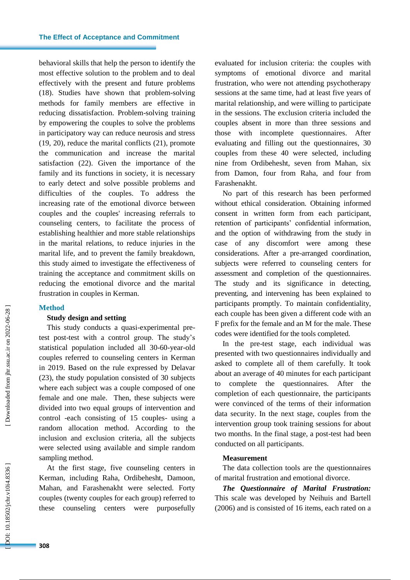behavioral skills that help the person to identify the most effective solution to the problem and to deal effectively with the present and future problems (18) . Studies have shown that problem -solving methods for family members are effective in reducing dissatisfaction. Problem -solving training by empowering the couples to solve the problems in participatory way can reduce neurosis and stress (19, 20), reduce the marital conflicts (21), promote the communication and increase the marital satisfaction (22) . Given the importance of the family and its functions in society, it is necessary to early detect and solve possible problems and difficulties of the couples. To address the increasing rate of the emotional divorce between couples and the couples' increasing referrals to counseling centers, to facilitate the process of establishing healthier and more stable relationships in the marital relations, to reduce injuries in the marital life, and to prevent the family breakdown, this study aimed to investigate the effectiveness of training the acceptance and commitment skills on reducing the emotional divorce and the marital frustration in couples in Kerman.

#### **Method**

# **Study design and setting**

This study conducts a quasi-experimental pretest post -test with a control group. The study's statistical population included all 30-60-year-old couples referred to counseling centers in Kerman in 2019. Based on the rule expressed by Delavar (23), the study population consisted of 30 subjects where each subject was a couple composed of one female and one male. Then, these subjects were divided into two equal groups of intervention and control -each consisting of 15 couples - using a random allocation method. According to the inclusion and exclusion criteria, all the subjects were selected using available and simple random sampling method.

At the first stage, five counseling centers in Kerman, including Raha, Ordibehesht, Damoon, Mahan, and Farashenakht were selected. Forty couples (twenty couples for each group) referred to these counseling centers were purposefully evaluated for inclusion criteria: the couples with symptoms of emotional divorce and marital frustration, who were not attending psychotherapy sessions at the same time, had at least five years of marital relationship, and were willing to participate in the sessions. The exclusion criteria included the couples absent in more than three sessions and those with incomplete questionnaires. After evaluating and filling out the questionnaires, 30 couples from these 40 were selected, including nine from Ordibehesht, seven from Mahan, six from Damon, four from Raha, and four from Farashenakht.

No part of this research has been performed without ethical consideration. Obtaining informed consent in written form from each participant, retention of participants' confidential information, and the option of withdrawing from the study in case of any discomfort were among these considerations. After a pre -arranged coordination, subjects were referred to counseling centers for assessment and completion of the questionnaires. The study and its significance in detecting, preventing, and intervening has been explained to participants promptly. To maintain confidentiality, each couple has been given a different code with an F prefix for the female and an M for the male. These codes were identified for the tools completed.

In the pre -test stage, each individual was presented with two questionnaires individually and asked to complete all of them carefully. It took about an average of 40 minutes for each participant to complete the questionnaires. After the completion of each questionnaire, the participants were convinced of the terms of their information data security. In the next stage, couples from the intervention group took training sessions for about two months. In the final stage, a post -test had been conducted on all participants.

#### **Measurement**

The data collection tool s are the questionnaires of marital frustration and emotional divorce.

*The Questionnaire of Marital Frustration:* This scale was developed by Neihuis and Bartell (2006) and is consisted of 16 items, each rated on a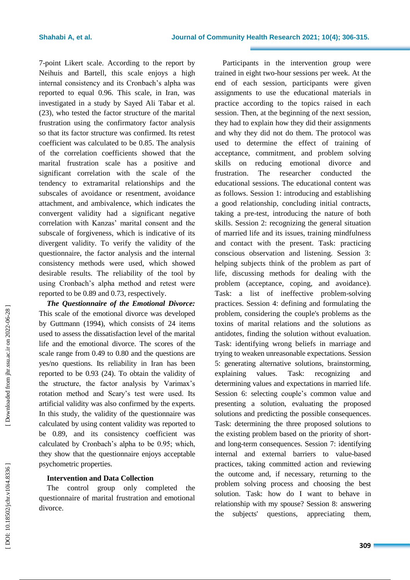7 -point Likert scale. According to the report by Neihuis and Bartell, this scale enjoys a high internal consistency and its Cronbach's alpha was reported to equal 0.96. This scale, in Iran, was investigated in a study by Sayed Ali Tabar et al. (23), who tested the factor structure of the marital frustration using the confirmatory factor analysis so that its factor structure was confirmed. Its retest coefficient was calculated to be 0.85. The analysis of the correlation coefficients showed that the marital frustration scale has a positive and significant correlation with the scale of the tendency to extramarital relationships and the subscales of avoidance or resentment, avoidance attachment, and ambivalence, which indicates the convergent validity had a significant negative correlation with Kanzas' marital consent and the subscale of forgiveness, which is indicative of its divergent validity. To verify the validity of the questionnaire, the factor analysis and the internal consistency methods were used, which showed desirable results. The reliability of the tool by using Cronbach's alpha method and retest were reported to be 0.89 and 0.73, respectively.

*The Questionnaire of the Emotional Divorce:* This scale of the emotional divorce was developed by Guttmann (1994), which consists of 24 items used to assess the dissatisfaction level of the marital life and the emotional divorce. The scores of the scale range from 0.49 to 0.80 and the questions are yes/no questions. Its reliability in Iran has been reported to be 0.93 (24). To obtain the validity of the structure, the factor analysis by Varimax's rotation method and Scary's test were used. Its artificial validity was also confirmed by the experts. In this study, the validity of the questionnaire was calculated by using content validity was reported to be 0.89, and its consistency coefficient was calculated by Cronbach's alpha to be 0.95; which, they show that the questionnaire enjoys acceptable psychometric properties.

# **Intervention and Data Collection**

The control group only completed the questionnaire of marital frustration and emotional divorce.

Participants in the intervention group were trained in eight two -hour sessions per week. At the end of each session, participants were given assignments to use the educational materials in practice according to the topics raised in each session. Then, at the beginning of the next session, they had to explain how they did their assignments and why they did not do them. The protocol was used to determine the effect of training of acceptance, commitment, and problem solving skills on reducing emotional divorce and frustration. The researcher conducted the educational sessions. The educational content was as follows. Session 1: introducing and establishing a good relationship, concluding initial contracts, taking a pre -test, introducing the nature of both skills. Session 2: recognizing the general situation of married life and its issues, training mindfulness and contact with the present. Task: practicing conscious observation and listening. Session 3: helping subjects think of the problem as part of life, discussing methods for dealing with the problem (acceptance, coping, and avoidance). Task: a list of ineffective problem -solving practices. Session 4: defining and formulating the problem, considering the couple's problems as the toxins of marital relations and the solutions as antidotes, finding the solution without evaluation. Task: identifying wrong beliefs in marriage and trying to weaken unreasonable expectations. Session 5: generating alternative solutions, brainstorming, explaining values. Task: recognizing and determining values and expectations in married life. Session 6: selecting couple's common value and presenting a solution, evaluating the proposed solutions and predicting the possible consequences. Task: determining the three proposed solutions to the existing problem based on the priority of short and long -term consequences. Session 7: identifying internal and external barriers to value -based practices, taking committed action and reviewing the outcome and, if necessary, returning to the problem solving process and choosing the best solution. Task: how do I want to behave in relationship with my spouse? Session 8: answering the subjects' questions, appreciating them.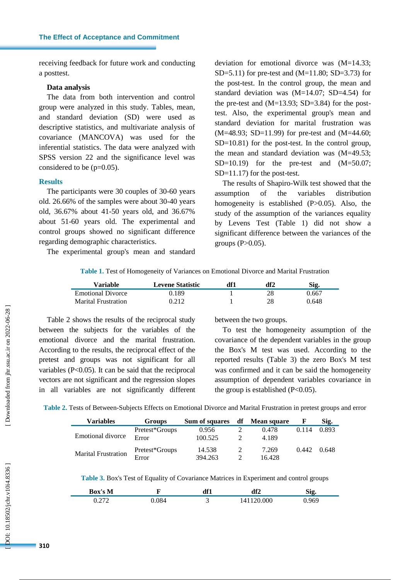receiving feedback for future work and conducting a posttest.

# **Data analysis**

The data from both intervention and control group were analyzed in this study. Tables, mean, and standard deviation (SD) were used as descriptive statistics, and multivariate analysis of covariance (MANCOVA) was used for the inferential statistics. The data were analyzed with SPSS version 22 and the significance level was considered to be  $(p=0.05)$ .

#### **Results**

The participants were 30 couples of 30 -60 years old. 26.66% of the samples were about 30 -40 years old, 36.67% about 41 -50 years old, and 36.67% about 51 -60 years old. The experimental and control groups showed no significant difference regarding demographic characteristics.

The experimental group's mean and standard

deviation for emotional divorce was (M=14.33; SD=5.11) for pre-test and  $(M=11.80; SD=3.73)$  for the post -test. In the control group, the mean and standard deviation was (M=14.07; SD=4.54) for the pre-test and  $(M=13.93; SD=3.84)$  for the posttest. Also, the experimental group's mean and standard deviation for marital frustration was (M=48.93; SD=11.99) for pre-test and (M=44.60; SD=10.81) for the post-test. In the control group, the mean and standard deviation was (M=49.53;  $SD=10.19$ ) for the pre-test and  $(M=50.07)$ ; SD=11.17) for the post-test.

The results of Shapiro -Wilk test showed that the assumption of the variables distribution homogeneity is established (P>0.05). Also, the study of the assumption of the variances equality by Levens Test (Table 1) did not show a significant difference between the variances of the groups  $(P>0.05)$ .

**Table 1.** Test of Homogeneity of Variances on Emotional Divorce and Marital Frustration

| Variable                 | <b>Levene Statistic</b> | df1 | df2 | Sig.  |
|--------------------------|-------------------------|-----|-----|-------|
| <b>Emotional Divorce</b> | 0.189                   |     | 28  | 0.667 |
| Marital Frustration      | 0.212                   |     | 28  | 0.648 |

Table 2 shows the results of the reciprocal study between the subjects for the variables of the emotional divorce and the marital frustration. According to the results, the reciprocal effect of the pretest and groups was not significant for all variables  $(P<0.05)$ . It can be said that the reciprocal vectors are not significant and the regression slopes in all variables are not significantly different

between the two groups.

To test the homogeneity assumption of the covariance of the dependent variables in the group the Box's M test was used. According to the reported results (Table 3) the zero Box's M test was confirmed and it can be said the homogeneity assumption of dependent variables covariance in the group is established  $(P<0.05)$ .

**Table 2.** Tests of Between -Subjects Effects on Emotional Divorce and Marital Frustration in pretest groups and error

| <b>Variables</b>           | <b>Groups</b>  | Sum of squares | df Mean square |       | Sig.  |
|----------------------------|----------------|----------------|----------------|-------|-------|
|                            | Pretest*Groups | 0.956          | 0.478          | 0.114 | 0.893 |
| Emotional divorce          | Error          | 100.525        | 4.189          |       |       |
| <b>Marital Frustration</b> | Pretest*Groups | 14.538         | 7.269          | 0.442 | 0.648 |
|                            | Error          | 394.263        | 16.428         |       |       |

**Table 3.** Box's Test of Equality of Covariance Matrices in Experiment and control groups

| Box's<br>M      |     | л₽≁ | df2 | <b>пл</b><br>-212 |
|-----------------|-----|-----|-----|-------------------|
| .272<br><i></i> | 184 |     | 000 | 060               |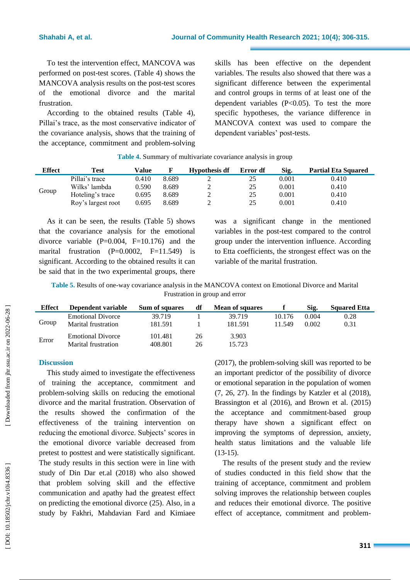To test the intervention effect, MANCOVA was performed on post -test scores. (Table 4) shows the MANCOVA analysis results on the post -test scores of the emotional divorce and the marital frustration.

According to the obtained results (Table 4), Pillai's trace, as the most conservative indicator of the covariance analysis, shows that the training of the acceptance, commitment and problem -solving skills has been effective on the dependent variables. The results also showed that there was a significant difference between the experimental and control groups in terms of at least one of the dependent variables  $(P<0.05)$ . To test the more specific hypotheses, the variance difference in MANCOVA context was used to compare the dependent variables' post -tests.

| Effect | Test               | Value | F     | <b>Hypothesis df</b> | Error df | Sig.  | <b>Partial Eta Squared</b> |
|--------|--------------------|-------|-------|----------------------|----------|-------|----------------------------|
| Group  | Pillai's trace     | 0.410 | 8.689 | ∽                    | 25       | 0.001 | 0.410                      |
|        | Wilks' lambda      | 0.590 | 8.689 | ∽                    | 25       | 0.001 | 0.410                      |
|        | Hoteling's trace   | 0.695 | 8.689 |                      | 25       | 0.001 | 0.410                      |
|        | Roy's largest root | 0.695 | 8.689 | ∽                    | 25       | 0.001 | 0.410                      |

**Table 4.** Summary of multivariate covariance analysis in group

As it can be seen, the results (Table 5) shows that the covariance analysis for the emotional divorce variable  $(P=0.004, F=10.176)$  and the marital frustration  $(P=0.0002, F=11.549)$  is significant. According to the obtained results it can be said that in the two experimental groups, there was a significant change in the mentioned variables in the post -test compared to the control group under the intervention influence. According to Etta coefficients, the strongest effect was on the variable of the marital frustration.

Table 5. Results of one-way covariance analysis in the MANCOVA context on Emotional Divorce and Marital Frustration in group and error

| <b>Effect</b> | Dependent variable       | Sum of squares | df | <b>Mean of squares</b> |        | Sig.  | <b>Squared Etta</b> |
|---------------|--------------------------|----------------|----|------------------------|--------|-------|---------------------|
|               | <b>Emotional Divorce</b> | 39.719         |    | 39.719                 | 10.176 | 0.004 | 0.28                |
| Group         | Marital frustration      | 181.591        |    | 181.591                | 11.549 | 0.002 | 0.31                |
| Error         | <b>Emotional Divorce</b> | 101.481        | 26 | 3.903                  |        |       |                     |
|               | Marital frustration      | 408.801        | 26 | 15.723                 |        |       |                     |

# **Discussion**

This study aimed to investigate the effectiveness of training the acceptance, commitment and problem -solving skills on reducing the emotional divorce and the marital frustration. Observation of the results showed the confirmation of the effectiveness of the training intervention on reducing the emotional divorce. Subjects' scores in the emotional divorce variable decreased from pretest to posttest and were statistically significant. The study results in this section were in line with study of Din Dar et.al (2018) who also showed that problem solving skill and the effective communication and apathy had the greatest effect on predicting the emotional divorce (25). Also, in a study by Fakhri, Mahdavian Fard and Kimiaee

(2017), the problem -solving skill was reported to be an important predictor of the possibility of divorce or emotional separation in the population of women (7, 26, 27). In the findings by Katzler et al (2018), Bras sington et al (2016), and Brown et al. (2015) the acceptance and commitment -based group therapy have shown a significant effect on improving the symptoms of depression, anxiety, health status limitations and the valuable life  $(13-15).$ 

The results of the present study and the review of studies conducted in this field show that the training of acceptance, commitment and problem solving improves the relationship between couples and reduces their emotional divorce. The positive effect of acceptance, commitment and problem -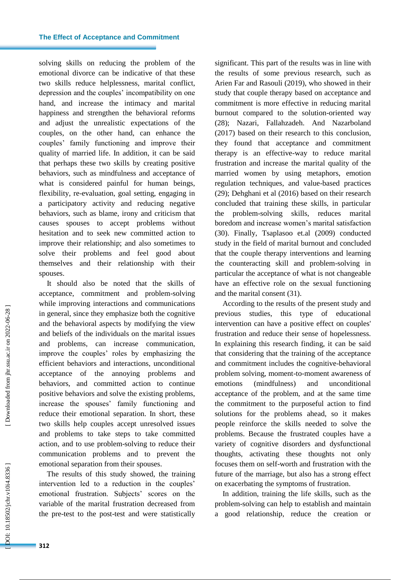solving skills on reducing the problem of the<br>emotional divorce can be indicative of that these<br>envo skills reduce helplessness, marial conflict,<br>depression and the couples' incompatibility on one<br>hand, and increase the in emotional divorce can be indicative of that these two skills reduce helplessness, marital conflict, depression and the couples' incompatibility on one hand, and increase the intimacy and marital happiness and strengthen the behavioral reforms and adjust the unrealistic expectations of the couples, on the other hand, can enhance the couples' family functioning and improve their quality of married life. In addition, it can be said that perhaps these two skills by creating positive behaviors, such as mindfulness and acceptance of what is considered painful for human beings, flexibility, re -evaluation, goal setting, engaging in a participatory activity and reducing negative behaviors, such as blame, irony and criticism that causes spouses to accept problems without hesitation and to seek new committed action to improve their relationship; and also sometimes to solve their problems and feel good about themselves and their relationship with their spouses.

It should also be noted that the skills of acceptance, commitment and problem -solving while improving interactions and communications in general, since they emphasize both the cognitive and the behavioral aspects by modifying the view and beliefs of the individuals on the marital issues and problems, can increase communication, improve the couples' roles by emphasizing the efficient behaviors and interactions, unconditional acceptance of the annoying problems and behaviors, and committed action to continue positive behaviors and solve the existing problems, increase the spouses' family functioning and reduce their emotional separation. In short, these two skills help couples accept unresolved issues and problems to take steps to take committed action, and to use problem -solving to reduce their communication problems and to prevent the emotional separation from their spouses.

The results of this study showed, the training intervention led to a reduction in the couples' emotional frustration. Subjects' scores on the variable of the marital frustration decreased from the pre -test to the post -test and were statistically significant. This part of the results was in line with the results of some previous research, such as Arien Far and Rasouli (2019), who showed in their study that couple therapy based on acceptance and commitment is more effective in reducing marital burnout compared to the solution -oriented way (28); Nazari, Fallahzadeh. And Nazarboland (2017) based on their research to this conclusion, they found that acceptance and commitment therapy is an effective -way to reduce marital frustration and increase the marital quality of the married women by using metaphors, emotion regulation techniques, and value -based practices (29); Dehghani et al (2016) based on their research concluded that training these skills, in particular the problem -solving skills, reduces marital boredom and increase women's marital satisfaction (30). Finally, Tsaplasoo et.al (2009) conducted study in the field of marital burnout and concluded that the couple therapy interventions and learning the counteracting skill and problem -solving in particular the acceptance of what is not changeable have an effective role on the sexual functioning and the marital consent (31) .

According to the results of the present study and previous studies, this type of educational intervention can have a positive effect on couples' frustration and reduce their sense of hopelessness. In explaining this research finding, it can be said that considering that the training of the acceptance and commitment includes the cognitive -behavioral problem solving, moment -to -moment awareness of emotions (mindfulness) and unconditional acceptance of the problem, and at the same time the commitment to the purposeful action to find solutions for the problems ahead, so it makes people reinforce the skills needed to solve the problems. Because the frustrated couples have a variety of cognitive disorders and dysfunctional thoughts, activating these thoughts not only focuses them on self -worth and frustration with the future of the marriage, but also has a strong effect on exacerbating the symptoms of frustration.

In addition, training the life skills, such as the problem -solving can help to establish and maintain a good relationship, reduce the creation or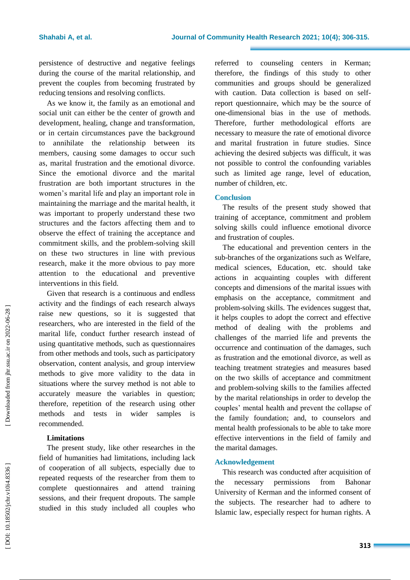persistence of destructive and negative feelings during the course of the marital relationship, and prevent the couples from becoming frustrated by reducing tensions and resolving conflicts.

As we know it, the family as an emotional and social unit can either be the center of growth and development, healing, change and transformation, or in certain circumstances pave the background to annihilate the relationship between its members, causing some damages to occur such as, marital frustration and the emotional divorce. Since the emotional divorce and the marital frustration are both important structures in the women's marital life and play an important role in maintaining the marriage and the marital health, it was important to properly understand these two structures and the factors affecting them and to observe the effect of training the acceptance and commitment skills, and the problem -solving skill on these two structures in line with previous research, make it the more obvious to pay more attention to the educational and preventive interventions in this field.

Given that research is a continuous and endless activity and the findings of each research always raise new questions, so it is suggested that researchers, who are interested in the field of the marital life, conduct further research instead of using quantitative methods, such as questionnaires from other methods and tools, such as participatory observation, content analysis, and group interview methods to give more validity to the data in situations where the survey method is not able to accurately measure the variables in question; therefore, repetition of the research using other methods and tests in wider samples recommended.

# **Limitations**

The present study, like other researches in the field of humanities had limitations, including lack of cooperation of all subjects, especially due to repeated requests of the researcher from them to complete questionnaires and attend training sessions , and their frequent dropouts. The sample studied in this study included all couples who

referred to counseling centers in Kerman; therefore, the findings of this study to other communities and groups should be generalized with caution. Data collection is based on self report questionnaire, which may be the source of one -dimensional bias in the use of methods. Therefore, further methodological efforts are necessary to measure the rate of emotional divorce and marital frustration in future studies. Since achieving the desired subjects was difficult, it was not possible to control the confounding variables such as limited age range, level of education, number of children, etc.

# **Conclusion**

The results of the present study showed that training of acceptance, commitment and problem solving skills could influence emotional divorce and frustration of couples.

The educational and prevention centers in the sub -branches of the organizations such as Welfare, medical sciences, Education, etc. should take actions in acquainting couples with different concepts and dimensions of the marital issues with emphasis on the acceptance, commitment and problem -solving skills. The evidences suggest that, it helps couples to adopt the correct and effective method of dealing with the problems and challenges of the married life and prevents the occurrence and continuation of the damages, such as frustration and the emotional divorce, as well as teaching treatment strategies and measures based on the two skills of acceptance and commitment and problem -solving skills to the families affected by the marital relationships in order to develop the couples' mental health and prevent the collapse of the family foundation; and, to counselors and mental health professionals to be able to take more effective interventions in the field of family and the marital damages.

# **Acknowledgement**

This research was conducted after acquisition of the necessary permissions from Bahonar University of Kerman and the informed consent of the subjects. The researcher had to adhere to Islamic law, especially respect for human rights. A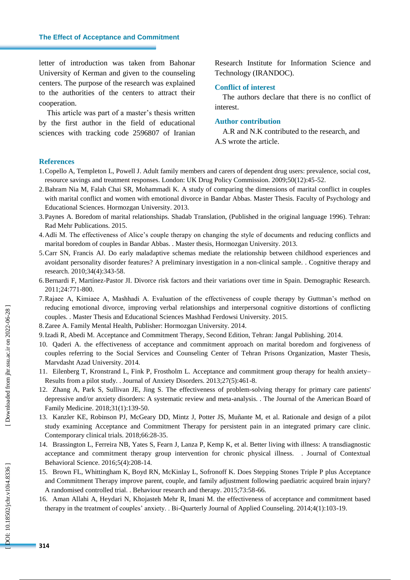letter of introduction was taken from Bahonar University of Kerman and given to the counseling centers. The purpose of the research was explained to the authorities of the centers to attract their cooperation.

This article was part of a master's thesis written by the first author in the field of educational sciences with tracking code 2596807 of Iranian

Research Institute for Information Science and Technology (IRANDOC).

#### **Conflict of interest**

The authors declare that there is no conflict of interest.

#### **Author contribution**

A.R and N.K contributed to the research, and A.S wrote the article.

#### **References**

- 1.Copello A, Templeton L, Powell J. Adult family members and carers of dependent drug users: prevalence, social cost, resource savings and treatment responses. London: UK Drug Policy Commission. 2009;50(12):45 -52.
- 2.Bahram Nia M, Falah Chai SR, Mohammadi K. A study of comparing the dimensions of marital conflict in couples with marital conflict and women with emotional divorce in Bandar Abbas. Master Thesis. Faculty of Psychology and Educational Sciences. Hormozgan University. 2013.
- 3.Paynes A. Boredom of marital relationships. Shadab Translation, (Published in the original language 1996). Tehran: Rad Mehr Publications. 2015.
- 4.Adli M. The effectiveness of Alice's couple therapy on changing the style of documents and reducing conflicts and marital boredom of couples in Bandar Abbas. . Master thesis, Hormozgan University. 2013.
- 5.Carr SN, Francis AJ. Do early maladaptive schemas mediate the relationship between childhood experiences and avoidant personality disorder features? A preliminary investigation in a non -clinical sample. . Cognitive therapy and research. 2010;34(4):343 -58.
- 6.Bernardi F, Martínez -Pastor JI. Divorce risk factors and their variations over time in Spain. Demographic Research. 2011;24:771 -800.
- 7 .Rajaee A, Kimiaee A, Mashhadi A. Evaluation of the effectiveness of couple therapy by Guttman's method on reducing emotional divorce, improving verbal relationships and interpersonal cognitive distortions of conflicting couples. . Master Thesis and Educational Sciences Mashhad Ferdowsi University. 2015.
- 8.Zaree A. Family Mental Health, Publisher: Hormozgan University. 2014.
- 9.Izadi R, Abedi M. Acceptance and Commitment Therapy, Second Edition, Tehran: Jangal Publishing. 2014.
- 10. Qaderi A. the effectiveness of acceptance and commitment approach on marital boredom and forgiveness of couples referring to the Social Services and Counseling Center of Tehran Prisons Organization, Master Thesis, Marvdasht Azad University. 2014.
- 11. Eilenberg T, Kronstrand L, Fink P, Frostholm L. Acceptance and commitment group therapy for health anxiety Results from a pilot study. . Journal of Anxiety Disorders. 2013;27(5):461 -8.
- 12. Zhang A, Park S, Sullivan JE, Jing S. The effectiveness of problem -solving therapy for primary care patients' depressive and/or anxiety disorders: A systematic review and meta -analysis. . The Journal of the American Board of Family Medicine. 2018;31(1):139 -50.
- 13. Kanzler KE, Robinson PJ, McGeary DD, Mintz J, Potter JS, Muñante M, et al. Rationale and design of a pilot study examining Acceptance and Commitment Therapy for persistent pain in an integrated primary care clinic. Contemporary clinical trials. 2018;66:28 -35.
- 14. Brassington L, Ferreira NB, Yates S, Fearn J, Lanza P, Kemp K, et al. Better living with illness: A transdiagnostic acceptance and commitment therapy group intervention for chronic physical illness. . Journal of Contextual Behavioral Science. 2016;5(4):208 -14.
- 15. Brown FL, Whittingham K, Boyd RN, McKinlay L, Sofronoff K. Does Stepping Stones Triple P plus Acceptance and Commitment Therapy improve parent, couple, and family adjustment following paediatric acquired brain injury? A randomised controlled trial. . Behaviour research and therapy. 2015;73:58 -66.
- 16. Aman Allahi A, Heydari N, Khojasteh Mehr R, Imani M. the effectiveness of acceptance and commitment based therapy in the treatment of couples' anxiety. . Bi -Quarterly Journal of Applied Counseling. 2014;4(1):103 -19.